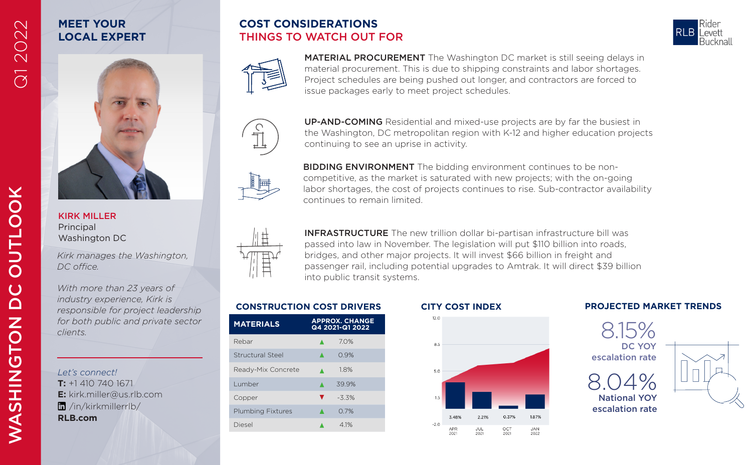# **MEET YOUR LOCAL EXPERT**







MATERIAL PROCUREMENT The Washington DC market is still seeing delays in material procurement. This is due to shipping constraints and labor shortages. Project schedules are being pushed out longer, and contractors are forced to issue packages early to meet project schedules.



UP-AND-COMING Residential and mixed-use projects are by far the busiest in the Washington, DC metropolitan region with K-12 and higher education projects continuing to see an uprise in activity.

**BIDDING ENVIRONMENT** The bidding environment continues to be noncompetitive, as the market is saturated with new projects; with the on-going labor shortages, the cost of projects continues to rise. Sub-contractor availability continues to remain limited.



INFRASTRUCTURE The new trillion dollar bi-partisan infrastructure bill was passed into law in November. The legislation will put \$110 billion into roads, bridges, and other major projects. It will invest \$66 billion in freight and passenger rail, including potential upgrades to Amtrak. It will direct \$39 billion into public transit systems.

**JUL**<br>2021

OCT<br>2021

2022

| <b>MATERIALS</b>         | <b>APPROX. CHANGE</b><br>Q4 2021-Q1 2022 |
|--------------------------|------------------------------------------|
| Rebar                    | 7.0%                                     |
| Structural Steel         | 0.9%                                     |
| Ready-Mix Concrete       | 18%                                      |
| Lumber                   | 39.9%                                    |
| Copper                   | ▼<br>$-3.3%$                             |
| <b>Plumbing Fixtures</b> | 0.7%                                     |
| Diesel                   | 4 1%                                     |



2021

5.0

## **CONSTRUCTION COST DRIVERS CITY COST INDEX PROJECTED MARKET TRENDS**





*Let's connect!* **T:** +1 410 740 1671

**RLB.com**

/in/kirkmillerrlb/

KIRK MILLER Principal Washington DC

*DC office.* 

*clients.*

**E:** kirk.miller@us.rlb.com

*Kirk manages the Washington,* 

*With more than 23 years of industry experience, Kirk is responsible for project leadership for both public and private sector* 

Q1 2022